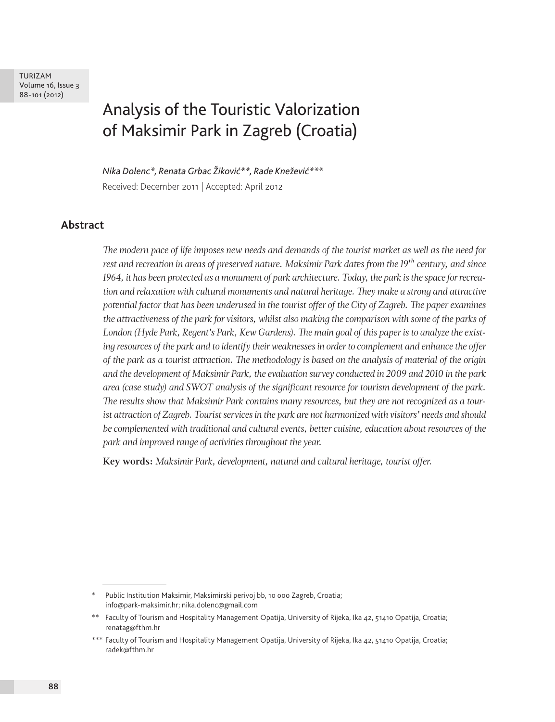# Analysis of the Touristic Valorization of Maksimir Park in Zagreb (Croatia)

*Nika Dolenc\*, Renata Grbac Žiković\*\*, Rade Knežević\*\*\** Received: December 2011 | Accepted: April 2012

#### **Abstract**

*The modern pace of life imposes new needs and demands of the tourist market as well as the need for rest and recreation in areas of preserved nature. Maksimir Park dates from the 19th century, and since 1964, it has been protected as a monument of park architecture. Today, the park is the space for recreation and relaxation with cultural monuments and natural heritage. They make a strong and attractive potential factor that has been underused in the tourist offer of the City of Zagreb. The paper examines the attractiveness of the park for visitors, whilst also making the comparison with some of the parks of London (Hyde Park, Regent's Park, Kew Gardens). The main goal of this paper is to analyze the existing resources of the park and to identify their weaknesses in order to complement and enhance the offer of the park as a tourist attraction. The methodology is based on the analysis of material of the origin and the development of Maksimir Park, the evaluation survey conducted in 2009 and 2010 in the park area (case study) and SWOT analysis of the significant resource for tourism development of the park. The results show that Maksimir Park contains many resources, but they are not recognized as a tourist attraction of Zagreb. Tourist services in the park are not harmonized with visitors' needs and should be complemented with traditional and cultural events, better cuisine, education about resources of the park and improved range of activities throughout the year.* 

**Key words:** *Maksimir Park, development, natural and cultural heritage, tourist offer.*

Public Institution Maksimir, Maksimirski perivoj bb, 10 000 Zagreb, Croatia; info@park-maksimir.hr; nika.dolenc@gmail.com

<sup>\*\*</sup> Faculty of Tourism and Hospitality Management Opatija, University of Rijeka, Ika 42, 51410 Opatija, Croatia; renatag@fthm.hr

<sup>\*\*\*</sup> Faculty of Tourism and Hospitality Management Opatija, University of Rijeka, Ika 42, 51410 Opatija, Croatia; radek@fthm.hr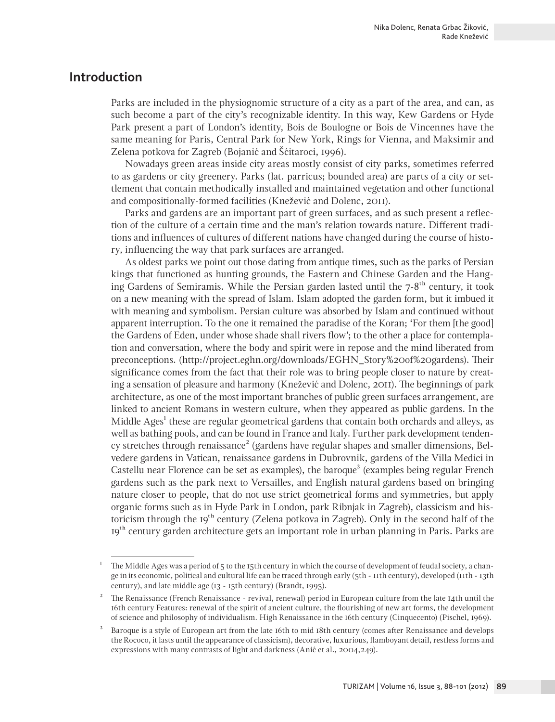# **Introduction**

Parks are included in the physiognomic structure of a city as a part of the area, and can, as such become a part of the city's recognizable identity. In this way, Kew Gardens or Hyde Park present a part of London's identity, Bois de Boulogne or Bois de Vincennes have the same meaning for Paris, Central Park for New York, Rings for Vienna, and Maksimir and Zelena potkova for Zagreb (Bojanić and Šćitaroci, 1996).

Nowadays green areas inside city areas mostly consist of city parks, sometimes referred to as gardens or city greenery. Parks (lat. parricus; bounded area) are parts of a city or settlement that contain methodically installed and maintained vegetation and other functional and compositionally-formed facilities (Knežević and Dolenc, 2011).

Parks and gardens are an important part of green surfaces, and as such present a reflection of the culture of a certain time and the man's relation towards nature. Different traditions and influences of cultures of different nations have changed during the course of history, influencing the way that park surfaces are arranged.

As oldest parks we point out those dating from antique times, such as the parks of Persian kings that functioned as hunting grounds, the Eastern and Chinese Garden and the Hanging Gardens of Semiramis. While the Persian garden lasted until the  $7-8<sup>th</sup>$  century, it took on a new meaning with the spread of Islam. Islam adopted the garden form, but it imbued it with meaning and symbolism. Persian culture was absorbed by Islam and continued without apparent interruption. To the one it remained the paradise of the Koran; 'For them [the good] the Gardens of Eden, under whose shade shall rivers flow'; to the other a place for contemplation and conversation, where the body and spirit were in repose and the mind liberated from preconceptions. (http://project.eghn.org/downloads/EGHN\_Story%20of%20gardens). Their significance comes from the fact that their role was to bring people closer to nature by creating a sensation of pleasure and harmony (Knežević and Dolenc, 2011). The beginnings of park architecture, as one of the most important branches of public green surfaces arrangement, are linked to ancient Romans in western culture, when they appeared as public gardens. In the Middle Ages<sup>1</sup> these are regular geometrical gardens that contain both orchards and alleys, as well as bathing pools, and can be found in France and Italy. Further park development tendency stretches through renaissance<sup>2</sup> (gardens have regular shapes and smaller dimensions, Belvedere gardens in Vatican, renaissance gardens in Dubrovnik, gardens of the Villa Medici in Castellu near Florence can be set as examples), the baroque<sup>3</sup> (examples being regular French gardens such as the park next to Versailles, and English natural gardens based on bringing nature closer to people, that do not use strict geometrical forms and symmetries, but apply organic forms such as in Hyde Park in London, park Ribnjak in Zagreb), classicism and historicism through the  $19<sup>th</sup>$  century (Zelena potkova in Zagreb). Only in the second half of the 19th century garden architecture gets an important role in urban planning in Paris. Parks are

<sup>&</sup>lt;sup>1</sup> The Middle Ages was a period of 5 to the 15th century in which the course of development of feudal society, a change in its economic, political and cultural life can be traced through early (5th - 11th century), developed (11th - 13th century), and late middle age (13 - 15th century) (Brandt, 1995).

<sup>2</sup> The Renaissance (French Renaissance - revival, renewal) period in European culture from the late 14th until the 16th century Features: renewal of the spirit of ancient culture, the flourishing of new art forms, the development of science and philosophy of individualism. High Renaissance in the 16th century (Cinquecento) (Pischel, 1969).

<sup>3</sup> Baroque is a style of European art from the late 16th to mid 18th century (comes after Renaissance and develops the Rococo, it lasts until the appearance of classicism), decorative, luxurious, flamboyant detail, restless forms and expressions with many contrasts of light and darkness (Anić et al., 2004,249).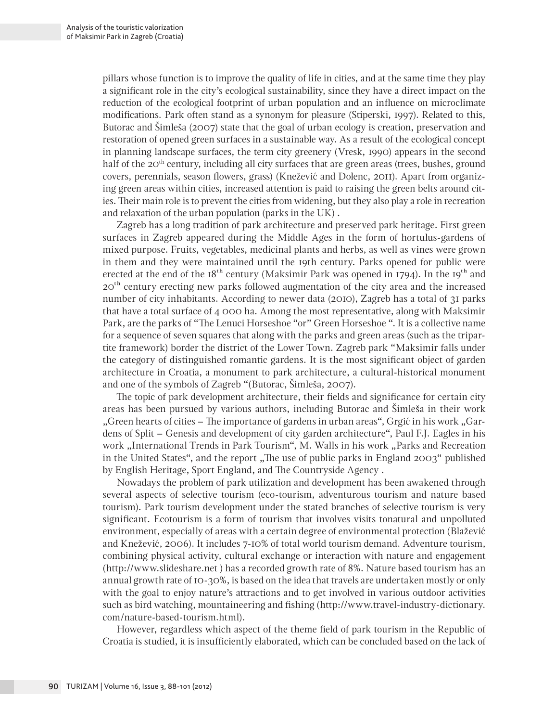pillars whose function is to improve the quality of life in cities, and at the same time they play a significant role in the city's ecological sustainability, since they have a direct impact on the reduction of the ecological footprint of urban population and an influence on microclimate modifications. Park often stand as a synonym for pleasure (Stiperski, 1997). Related to this, Butorac and Šimleša (2007) state that the goal of urban ecology is creation, preservation and restoration of opened green surfaces in a sustainable way. As a result of the ecological concept in planning landscape surfaces, the term city greenery (Vresk, 1990) appears in the second half of the 20<sup>th</sup> century, including all city surfaces that are green areas (trees, bushes, ground covers, perennials, season flowers, grass) (Knežević and Dolenc, 2011). Apart from organizing green areas within cities, increased attention is paid to raising the green belts around cities. Their main role is to prevent the cities from widening, but they also play a role in recreation and relaxation of the urban population (parks in the UK) .

Zagreb has a long tradition of park architecture and preserved park heritage. First green surfaces in Zagreb appeared during the Middle Ages in the form of hortulus-gardens of mixed purpose. Fruits, vegetables, medicinal plants and herbs, as well as vines were grown in them and they were maintained until the 19th century. Parks opened for public were erected at the end of the  $18<sup>th</sup>$  century (Maksimir Park was opened in 1794). In the 19<sup>th</sup> and 20<sup>th</sup> century erecting new parks followed augmentation of the city area and the increased number of city inhabitants. According to newer data (2010), Zagreb has a total of 31 parks that have a total surface of 4 000 ha. Among the most representative, along with Maksimir Park, are the parks of "The Lenuci Horseshoe "or" Green Horseshoe ". It is a collective name for a sequence of seven squares that along with the parks and green areas (such as the tripartite framework) border the district of the Lower Town. Zagreb park "Maksimir falls under the category of distinguished romantic gardens. It is the most significant object of garden architecture in Croatia, a monument to park architecture, a cultural-historical monument and one of the symbols of Zagreb "(Butorac, Šimleša, 2007).

The topic of park development architecture, their fields and significance for certain city areas has been pursued by various authors, including Butorac and Šimleša in their work "Green hearts of cities – The importance of gardens in urban areas", Grgić in his work "Gardens of Split – Genesis and development of city garden architecture", Paul F.J. Eagles in his work "International Trends in Park Tourism", M. Walls in his work "Parks and Recreation in the United States", and the report "The use of public parks in England 2003" published by English Heritage, Sport England, and The Countryside Agency .

Nowadays the problem of park utilization and development has been awakened through several aspects of selective tourism (eco-tourism, adventurous tourism and nature based tourism). Park tourism development under the stated branches of selective tourism is very significant. Ecotourism is a form of tourism that involves visits tonatural and unpolluted environment, especially of areas with a certain degree of environmental protection (Blažević and Knežević, 2006). It includes 7-10% of total world tourism demand. Adventure tourism, combining physical activity, cultural exchange or interaction with nature and engagement (http://www.slideshare.net ) has a recorded growth rate of 8%. Nature based tourism has an annual growth rate of 10-30%, is based on the idea that travels are undertaken mostly or only with the goal to enjoy nature's attractions and to get involved in various outdoor activities such as bird watching, mountaineering and fishing (http://www.travel-industry-dictionary. com/nature-based-tourism.html).

However, regardless which aspect of the theme field of park tourism in the Republic of Croatia is studied, it is insufficiently elaborated, which can be concluded based on the lack of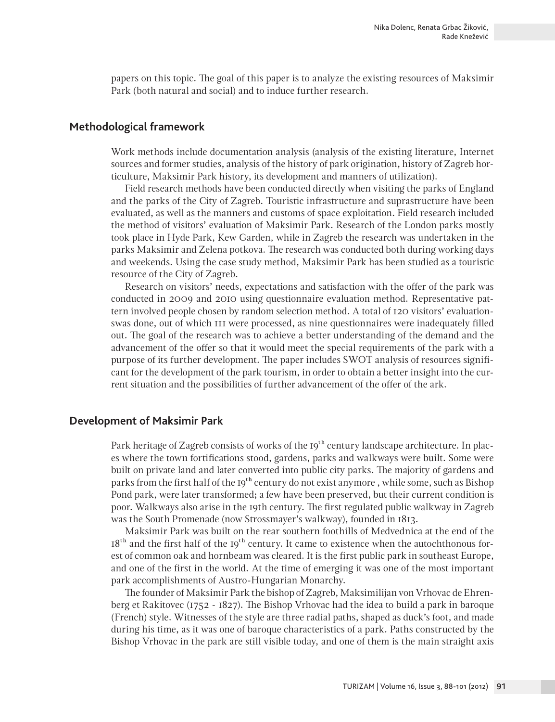papers on this topic. The goal of this paper is to analyze the existing resources of Maksimir Park (both natural and social) and to induce further research.

#### **Methodological framework**

Work methods include documentation analysis (analysis of the existing literature, Internet sources and former studies, analysis of the history of park origination, history of Zagreb horticulture, Maksimir Park history, its development and manners of utilization).

Field research methods have been conducted directly when visiting the parks of England and the parks of the City of Zagreb. Touristic infrastructure and suprastructure have been evaluated, as well as the manners and customs of space exploitation. Field research included the method of visitors' evaluation of Maksimir Park. Research of the London parks mostly took place in Hyde Park, Kew Garden, while in Zagreb the research was undertaken in the parks Maksimir and Zelena potkova. The research was conducted both during working days and weekends. Using the case study method, Maksimir Park has been studied as a touristic resource of the City of Zagreb.

Research on visitors' needs, expectations and satisfaction with the offer of the park was conducted in 2009 and 2010 using questionnaire evaluation method. Representative pattern involved people chosen by random selection method. A total of 120 visitors' evaluationswas done, out of which 111 were processed, as nine questionnaires were inadequately filled out. The goal of the research was to achieve a better understanding of the demand and the advancement of the offer so that it would meet the special requirements of the park with a purpose of its further development. The paper includes SWOT analysis of resources significant for the development of the park tourism, in order to obtain a better insight into the current situation and the possibilities of further advancement of the offer of the ark.

#### **Development of Maksimir Park**

Park heritage of Zagreb consists of works of the 19<sup>th</sup> century landscape architecture. In places where the town fortifications stood, gardens, parks and walkways were built. Some were built on private land and later converted into public city parks. The majority of gardens and parks from the first half of the 19<sup>th</sup> century do not exist anymore, while some, such as Bishop Pond park, were later transformed; a few have been preserved, but their current condition is poor. Walkways also arise in the 19th century. The first regulated public walkway in Zagreb was the South Promenade (now Strossmayer's walkway), founded in 1813.

Maksimir Park was built on the rear southern foothills of Medvednica at the end of the  $18<sup>th</sup>$  and the first half of the 19<sup>th</sup> century. It came to existence when the autochthonous forest of common oak and hornbeam was cleared. It is the first public park in southeast Europe, and one of the first in the world. At the time of emerging it was one of the most important park accomplishments of Austro-Hungarian Monarchy.

The founder of Maksimir Park the bishop of Zagreb, Maksimilijan von Vrhovac de Ehrenberg et Rakitovec (1752 - 1827). The Bishop Vrhovac had the idea to build a park in baroque (French) style. Witnesses of the style are three radial paths, shaped as duck's foot, and made during his time, as it was one of baroque characteristics of a park. Paths constructed by the Bishop Vrhovac in the park are still visible today, and one of them is the main straight axis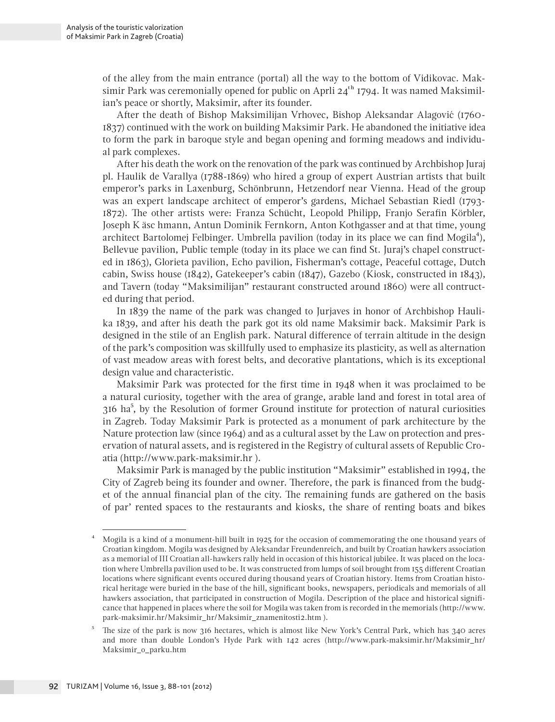of the alley from the main entrance (portal) all the way to the bottom of Vidikovac. Maksimir Park was ceremonially opened for public on Aprli  $24<sup>th</sup>$  1794. It was named Maksimilian's peace or shortly, Maksimir, after its founder.

After the death of Bishop Maksimilijan Vrhovec, Bishop Aleksandar Alagović (1760- 1837) continued with the work on building Maksimir Park. He abandoned the initiative idea to form the park in baroque style and began opening and forming meadows and individual park complexes.

After his death the work on the renovation of the park was continued by Archbishop Juraj pl. Haulik de Varallya (1788-1869) who hired a group of expert Austrian artists that built emperor's parks in Laxenburg, Schönbrunn, Hetzendorf near Vienna. Head of the group was an expert landscape architect of emperor's gardens, Michael Sebastian Riedl (1793- 1872). The other artists were: Franza Schücht, Leopold Philipp, Franjo Serafin Körbler, Joseph K äsc hmann, Antun Dominik Fernkorn, Anton Kothgasser and at that time, young architect Bartolomej Felbinger. Umbrella pavilion (today in its place we can find Mogila<sup>4</sup>), Bellevue pavilion, Public temple (today in its place we can find St. Juraj's chapel constructed in 1863), Glorieta pavilion, Echo pavilion, Fisherman's cottage, Peaceful cottage, Dutch cabin, Swiss house (1842), Gatekeeper's cabin (1847), Gazebo (Kiosk, constructed in 1843), and Tavern (today "Maksimilijan" restaurant constructed around 1860) were all contructed during that period.

In 1839 the name of the park was changed to Jurjaves in honor of Archbishop Haulika 1839, and after his death the park got its old name Maksimir back. Maksimir Park is designed in the stile of an English park. Natural difference of terrain altitude in the design of the park's composition was skillfully used to emphasize its plasticity, as well as alternation of vast meadow areas with forest belts, and decorative plantations, which is its exceptional design value and characteristic.

Maksimir Park was protected for the first time in 1948 when it was proclaimed to be a natural curiosity, together with the area of grange, arable land and forest in total area of  $316$  ha<sup>5</sup>, by the Resolution of former Ground institute for protection of natural curiosities in Zagreb. Today Maksimir Park is protected as a monument of park architecture by the Nature protection law (since 1964) and as a cultural asset by the Law on protection and preservation of natural assets, and is registered in the Registry of cultural assets of Republic Croatia (http://www.park-maksimir.hr ).

Maksimir Park is managed by the public institution "Maksimir" established in 1994, the City of Zagreb being its founder and owner. Therefore, the park is financed from the budget of the annual financial plan of the city. The remaining funds are gathered on the basis of par' rented spaces to the restaurants and kiosks, the share of renting boats and bikes

<sup>4</sup> Mogila is a kind of a monument-hill built in 1925 for the occasion of commemorating the one thousand years of Croatian kingdom. Mogila was designed by Aleksandar Freundenreich, and built by Croatian hawkers association as a memorial of III Croatian all-hawkers rally held in occasion of this historical jubilee. It was placed on the location where Umbrella pavilion used to be. It was constructed from lumps of soil brought from 155 different Croatian locations where significant events occured during thousand years of Croatian history. Items from Croatian historical heritage were buried in the base of the hill, significant books, newspapers, periodicals and memorials of all hawkers association, that participated in construction of Mogila. Description of the place and historical significance that happened in places where the soil for Mogila was taken from is recorded in the memorials (http://www. park-maksimir.hr/Maksimir\_hr/Maksimir\_znamenitosti2.htm ).

<sup>5</sup> The size of the park is now 316 hectares, which is almost like New York's Central Park, which has 340 acres and more than double London's Hyde Park with 142 acres (http://www.park-maksimir.hr/Maksimir\_hr/ Maksimir\_o\_parku.htm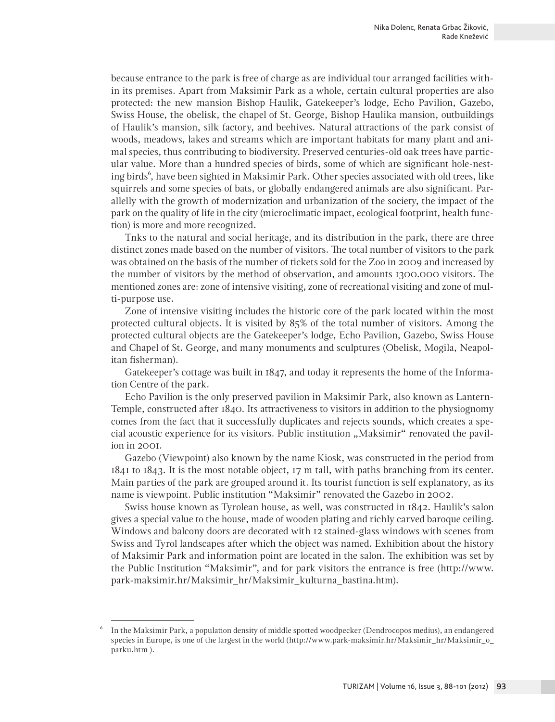because entrance to the park is free of charge as are individual tour arranged facilities within its premises. Apart from Maksimir Park as a whole, certain cultural properties are also protected: the new mansion Bishop Haulik, Gatekeeper's lodge, Echo Pavilion, Gazebo, Swiss House, the obelisk, the chapel of St. George, Bishop Haulika mansion, outbuildings of Haulik's mansion, silk factory, and beehives. Natural attractions of the park consist of woods, meadows, lakes and streams which are important habitats for many plant and animal species, thus contributing to biodiversity. Preserved centuries-old oak trees have particular value. More than a hundred species of birds, some of which are significant hole-nesting birds<sup>6</sup>, have been sighted in Maksimir Park. Other species associated with old trees, like squirrels and some species of bats, or globally endangered animals are also significant. Parallelly with the growth of modernization and urbanization of the society, the impact of the park on the quality of life in the city (microclimatic impact, ecological footprint, health function) is more and more recognized.

Tnks to the natural and social heritage, and its distribution in the park, there are three distinct zones made based on the number of visitors. The total number of visitors to the park was obtained on the basis of the number of tickets sold for the Zoo in 2009 and increased by the number of visitors by the method of observation, and amounts 1300.000 visitors. The mentioned zones are: zone of intensive visiting, zone of recreational visiting and zone of multi-purpose use.

Zone of intensive visiting includes the historic core of the park located within the most protected cultural objects. It is visited by 85% of the total number of visitors. Among the protected cultural objects are the Gatekeeper's lodge, Echo Pavilion, Gazebo, Swiss House and Chapel of St. George, and many monuments and sculptures (Obelisk, Mogila, Neapolitan fisherman).

Gatekeeper's cottage was built in  $1847$ , and today it represents the home of the Information Centre of the park.

Echo Pavilion is the only preserved pavilion in Maksimir Park, also known as Lantern-Temple, constructed after 1840. Its attractiveness to visitors in addition to the physiognomy comes from the fact that it successfully duplicates and rejects sounds, which creates a special acoustic experience for its visitors. Public institution "Maksimir" renovated the pavilion in 2001.

Gazebo (Viewpoint) also known by the name Kiosk, was constructed in the period from 1841 to 1843. It is the most notable object, 17 m tall, with paths branching from its center. Main parties of the park are grouped around it. Its tourist function is self explanatory, as its name is viewpoint. Public institution "Maksimir" renovated the Gazebo in 2002.

Swiss house known as Tyrolean house, as well, was constructed in 1842. Haulik's salon gives a special value to the house, made of wooden plating and richly carved baroque ceiling. Windows and balcony doors are decorated with 12 stained-glass windows with scenes from Swiss and Tyrol landscapes after which the object was named. Exhibition about the history of Maksimir Park and information point are located in the salon. The exhibition was set by the Public Institution "Maksimir", and for park visitors the entrance is free (http://www. park-maksimir.hr/Maksimir\_hr/Maksimir\_kulturna\_bastina.htm).

<sup>6</sup> In the Maksimir Park, a population density of middle spotted woodpecker (Dendrocopos medius), an endangered species in Europe, is one of the largest in the world (http://www.park-maksimir.hr/Maksimir\_hr/Maksimir\_o\_ parku.htm ).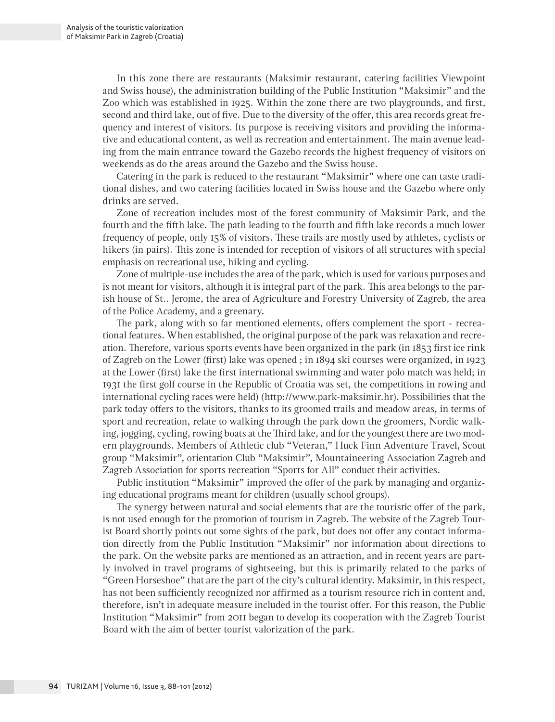In this zone there are restaurants (Maksimir restaurant, catering facilities Viewpoint and Swiss house), the administration building of the Public Institution "Maksimir" and the Zoo which was established in 1925. Within the zone there are two playgrounds, and first, second and third lake, out of five. Due to the diversity of the offer, this area records great frequency and interest of visitors. Its purpose is receiving visitors and providing the informative and educational content, as well as recreation and entertainment. The main avenue leading from the main entrance toward the Gazebo records the highest frequency of visitors on weekends as do the areas around the Gazebo and the Swiss house.

Catering in the park is reduced to the restaurant "Maksimir" where one can taste traditional dishes, and two catering facilities located in Swiss house and the Gazebo where only drinks are served.

Zone of recreation includes most of the forest community of Maksimir Park, and the fourth and the fifth lake. The path leading to the fourth and fifth lake records a much lower frequency of people, only 15% of visitors. These trails are mostly used by athletes, cyclists or hikers (in pairs). This zone is intended for reception of visitors of all structures with special emphasis on recreational use, hiking and cycling.

Zone of multiple-use includes the area of the park, which is used for various purposes and is not meant for visitors, although it is integral part of the park. This area belongs to the parish house of St.. Jerome, the area of Agriculture and Forestry University of Zagreb, the area of the Police Academy, and a greenary.

The park, along with so far mentioned elements, offers complement the sport - recreational features. When established, the original purpose of the park was relaxation and recreation. Therefore, various sports events have been organized in the park (in 1853 first ice rink of Zagreb on the Lower (first) lake was opened ; in 1894 ski courses were organized, in 1923 at the Lower (first) lake the first international swimming and water polo match was held; in 1931 the first golf course in the Republic of Croatia was set, the competitions in rowing and international cycling races were held) (http://www.park-maksimir.hr). Possibilities that the park today offers to the visitors, thanks to its groomed trails and meadow areas, in terms of sport and recreation, relate to walking through the park down the groomers, Nordic walking, jogging, cycling, rowing boats at the Third lake, and for the youngest there are two modern playgrounds. Members of Athletic club "Veteran," Huck Finn Adventure Travel, Scout group "Maksimir", orientation Club "Maksimir", Mountaineering Association Zagreb and Zagreb Association for sports recreation "Sports for All" conduct their activities.

Public institution "Maksimir" improved the offer of the park by managing and organizing educational programs meant for children (usually school groups).

The synergy between natural and social elements that are the touristic offer of the park, is not used enough for the promotion of tourism in Zagreb. The website of the Zagreb Tourist Board shortly points out some sights of the park, but does not offer any contact information directly from the Public Institution "Maksimir" nor information about directions to the park. On the website parks are mentioned as an attraction, and in recent years are partly involved in travel programs of sightseeing, but this is primarily related to the parks of "Green Horseshoe" that are the part of the city's cultural identity. Maksimir, in this respect, has not been sufficiently recognized nor affirmed as a tourism resource rich in content and, therefore, isn't in adequate measure included in the tourist offer. For this reason, the Public Institution "Maksimir" from 2011 began to develop its cooperation with the Zagreb Tourist Board with the aim of better tourist valorization of the park.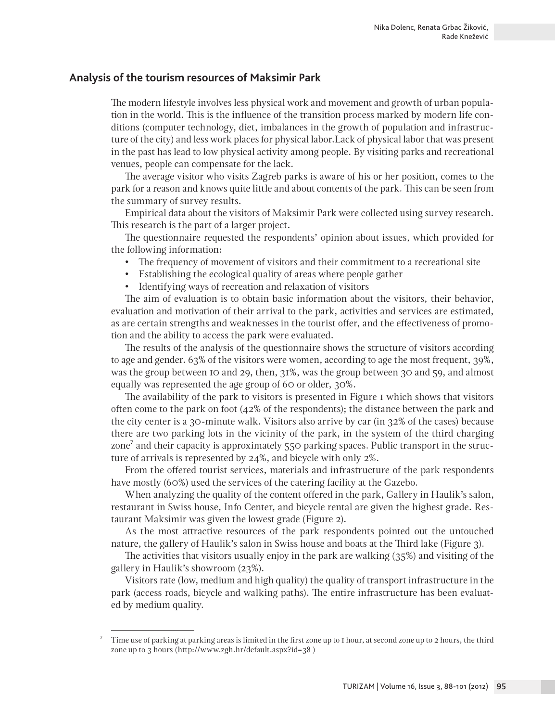### **Analysis of the tourism resources of Maksimir Park**

The modern lifestyle involves less physical work and movement and growth of urban population in the world. This is the influence of the transition process marked by modern life conditions (computer technology, diet, imbalances in the growth of population and infrastructure of the city) and less work places for physical labor.Lack of physical labor that was present in the past has lead to low physical activity among people. By visiting parks and recreational venues, people can compensate for the lack.

The average visitor who visits Zagreb parks is aware of his or her position, comes to the park for a reason and knows quite little and about contents of the park. This can be seen from the summary of survey results.

Empirical data about the visitors of Maksimir Park were collected using survey research. This research is the part of a larger project.

The questionnaire requested the respondents' opinion about issues, which provided for the following information:

- The frequency of movement of visitors and their commitment to a recreational site
- • Establishing the ecological quality of areas where people gather
- Identifying ways of recreation and relaxation of visitors

The aim of evaluation is to obtain basic information about the visitors, their behavior, evaluation and motivation of their arrival to the park, activities and services are estimated, as are certain strengths and weaknesses in the tourist offer, and the effectiveness of promotion and the ability to access the park were evaluated.

The results of the analysis of the questionnaire shows the structure of visitors according to age and gender. 63% of the visitors were women, according to age the most frequent, 39%, was the group between 10 and 29, then, 31%, was the group between 30 and 59, and almost equally was represented the age group of 60 or older, 30%.

The availability of the park to visitors is presented in Figure 1 which shows that visitors often come to the park on foot  $(42\%$  of the respondents); the distance between the park and the city center is a 30-minute walk. Visitors also arrive by car (in 32% of the cases) because there are two parking lots in the vicinity of the park, in the system of the third charging zone<sup>7</sup> and their capacity is approximately  $550$  parking spaces. Public transport in the structure of arrivals is represented by 24%, and bicycle with only 2%.

From the offered tourist services, materials and infrastructure of the park respondents have mostly (60%) used the services of the catering facility at the Gazebo.

When analyzing the quality of the content offered in the park, Gallery in Haulik's salon, restaurant in Swiss house, Info Center, and bicycle rental are given the highest grade. Restaurant Maksimir was given the lowest grade (Figure 2).

As the most attractive resources of the park respondents pointed out the untouched nature, the gallery of Haulik's salon in Swiss house and boats at the Third lake (Figure 3).

The activities that visitors usually enjoy in the park are walking (35%) and visiting of the gallery in Haulik's showroom (23%).

Visitors rate (low, medium and high quality) the quality of transport infrastructure in the park (access roads, bicycle and walking paths). The entire infrastructure has been evaluated by medium quality.

<sup>7</sup> Time use of parking at parking areas is limited in the first zone up to 1 hour, at second zone up to 2 hours, the third zone up to 3 hours (http://www.zgh.hr/default.aspx?id=38 )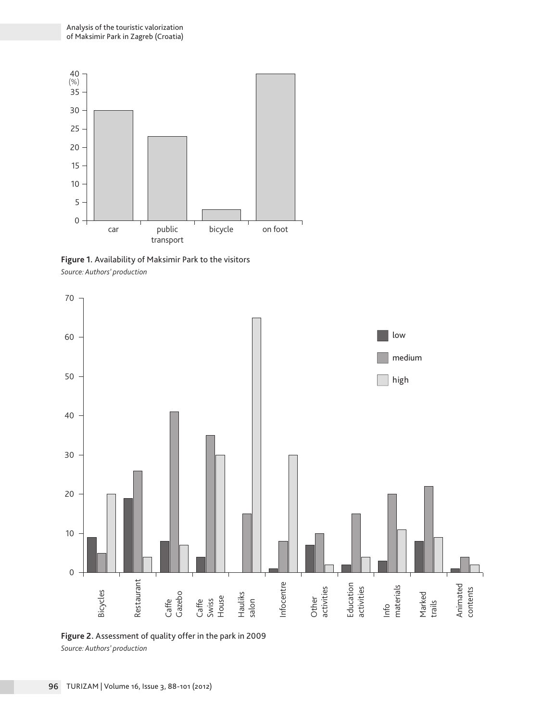

**Figure 1.** Availability of Maksimir Park to the visitors *Source: Authors' production*



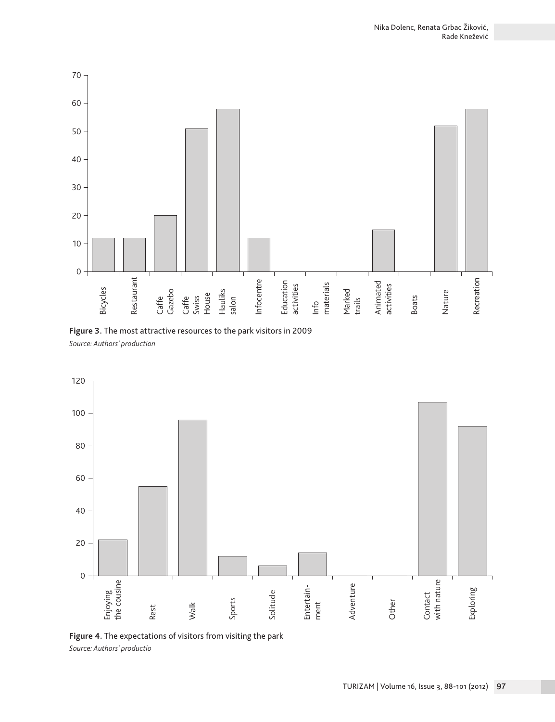

**Figure 3.** The most attractive resources to the park visitors in 2009 *Source: Authors' production*



**Figure 4.** The expectations of visitors from visiting the park *Source: Authors' productio*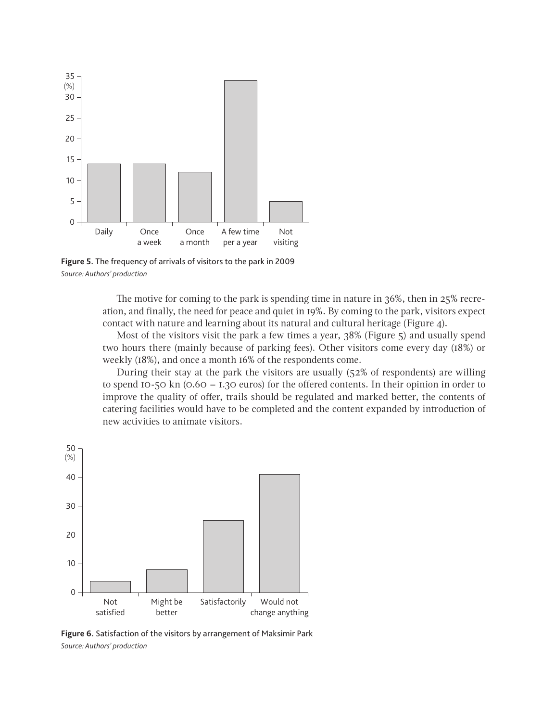

**Figure 5.** The frequency of arrivals of visitors to the park in 2009 *Source: Authors' production*

The motive for coming to the park is spending time in nature in 36%, then in 25% recreation, and finally, the need for peace and quiet in 19%. By coming to the park, visitors expect contact with nature and learning about its natural and cultural heritage (Figure 4).

Most of the visitors visit the park a few times a year, 38% (Figure 5) and usually spend two hours there (mainly because of parking fees). Other visitors come every day (18%) or weekly (18%), and once a month 16% of the respondents come.

During their stay at the park the visitors are usually (52% of respondents) are willing to spend 10-50 kn (0.60 – 1.30 euros) for the offered contents. In their opinion in order to improve the quality of offer, trails should be regulated and marked better, the contents of catering facilities would have to be completed and the content expanded by introduction of new activities to animate visitors.



**Figure 6.** Satisfaction of the visitors by arrangement of Maksimir Park *Source: Authors' production*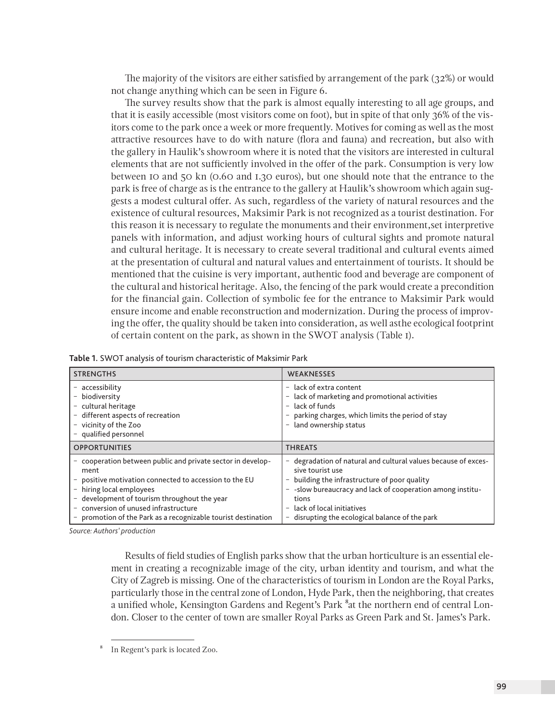The majority of the visitors are either satisfied by arrangement of the park (32%) or would not change anything which can be seen in Figure 6.

The survey results show that the park is almost equally interesting to all age groups, and that it is easily accessible (most visitors come on foot), but in spite of that only 36% of the visitors come to the park once a week or more frequently. Motives for coming as well as the most attractive resources have to do with nature (flora and fauna) and recreation, but also with the gallery in Haulik's showroom where it is noted that the visitors are interested in cultural elements that are not sufficiently involved in the offer of the park. Consumption is very low between 10 and 50 kn (0.60 and 1.30 euros), but one should note that the entrance to the park is free of charge as is the entrance to the gallery at Haulik's showroom which again suggests a modest cultural offer. As such, regardless of the variety of natural resources and the existence of cultural resources, Maksimir Park is not recognized as a tourist destination. For this reason it is necessary to regulate the monuments and their environment,set interpretive panels with information, and adjust working hours of cultural sights and promote natural and cultural heritage. It is necessary to create several traditional and cultural events aimed at the presentation of cultural and natural values and entertainment of tourists. It should be mentioned that the cuisine is very important, authentic food and beverage are component of the cultural and historical heritage. Also, the fencing of the park would create a precondition for the financial gain. Collection of symbolic fee for the entrance to Maksimir Park would ensure income and enable reconstruction and modernization. During the process of improving the offer, the quality should be taken into consideration, as well asthe ecological footprint of certain content on the park, as shown in the SWOT analysis (Table 1).

| <b>STRENGTHS</b>                                                                                                                                                                                                                                                                                          | WEAKNESSES                                                                                                                                                                                                                                                                                                              |
|-----------------------------------------------------------------------------------------------------------------------------------------------------------------------------------------------------------------------------------------------------------------------------------------------------------|-------------------------------------------------------------------------------------------------------------------------------------------------------------------------------------------------------------------------------------------------------------------------------------------------------------------------|
| - accessibility<br>biodiversity<br>- cultural heritage<br>different aspects of recreation<br>vicinity of the Zoo<br>- qualified personnel                                                                                                                                                                 | $-$ lack of extra content<br>- lack of marketing and promotional activities<br>lack of funds<br>$\sim$<br>parking charges, which limits the period of stay<br>land ownership status<br>-                                                                                                                                |
| <b>OPPORTUNITIES</b>                                                                                                                                                                                                                                                                                      | <b>THREATS</b>                                                                                                                                                                                                                                                                                                          |
| cooperation between public and private sector in develop-<br>ment<br>positive motivation connected to accession to the EU<br>hiring local employees<br>development of tourism throughout the year<br>- conversion of unused infrastructure<br>promotion of the Park as a recognizable tourist destination | - degradation of natural and cultural values because of exces-<br>sive tourist use<br>building the infrastructure of poor quality<br>-<br>- -slow bureaucracy and lack of cooperation among institu-<br>tions<br>lack of local initiatives<br>$\overline{\phantom{m}}$<br>disrupting the ecological balance of the park |

| Table 1. SWOT analysis of tourism characteristic of Maksimir Park |  |
|-------------------------------------------------------------------|--|
|-------------------------------------------------------------------|--|

*Source: Authors' production*

Results of field studies of English parks show that the urban horticulture is an essential element in creating a recognizable image of the city, urban identity and tourism, and what the City of Zagreb is missing. One of the characteristics of tourism in London are the Royal Parks, particularly those in the central zone of London, Hyde Park, then the neighboring, that creates a unified whole, Kensington Gardens and Regent's Park <sup>8</sup>at the northern end of central London. Closer to the center of town are smaller Royal Parks as Green Park and St. James's Park.

<sup>8</sup> In Regent's park is located Zoo.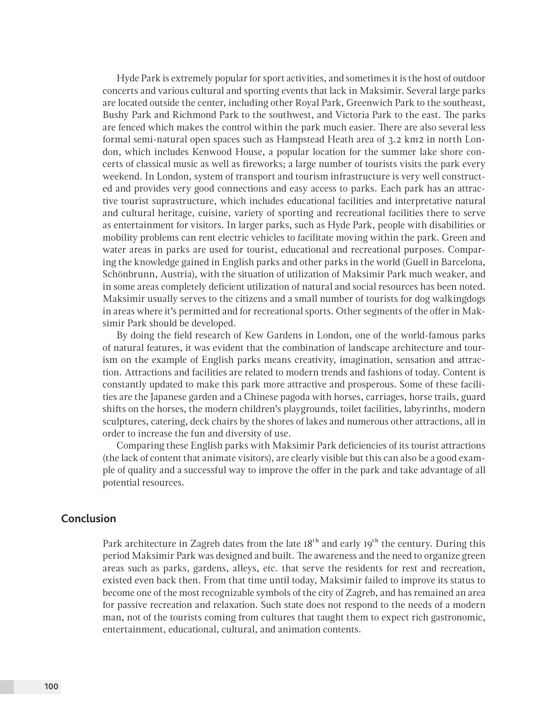Hyde Park is extremely popular for sport activities, and sometimes it is the host of outdoor concerts and various cultural and sporting events that lack in Maksimir. Several large parks are located outside the center, including other Royal Park, Greenwich Park to the southeast, Bushy Park and Richmond Park to the southwest, and Victoria Park to the east. The parks are fenced which makes the control within the park much easier. There are also several less formal semi-natural open spaces such as Hampstead Heath area of 3.2 km2 in north London, which includes Kenwood House, a popular location for the summer lake shore concerts of classical music as well as fireworks; a large number of tourists visits the park every weekend. In London, system of transport and tourism infrastructure is very well constructed and provides very good connections and easy access to parks. Each park has an attractive tourist suprastructure, which includes educational facilities and interpretative natural and cultural heritage, cuisine, variety of sporting and recreational facilities there to serve as entertainment for visitors. In larger parks, such as Hyde Park, people with disabilities or mobility problems can rent electric vehicles to facilitate moving within the park. Green and water areas in parks are used for tourist, educational and recreational purposes. Comparing the knowledge gained in English parks and other parks in the world (Guell in Barcelona, Schönbrunn, Austria), with the situation of utilization of Maksimir Park much weaker, and in some areas completely deficient utilization of natural and social resources has been noted. Maksimir usually serves to the citizens and a small number of tourists for dog walkingdogs in areas where it's permitted and for recreational sports. Other segments of the offer in Maksimir Park should be developed.

By doing the field research of Kew Gardens in London, one of the world-famous parks of natural features, it was evident that the combination of landscape architecture and tourism on the example of English parks means creativity, imagination, sensation and attraction. Attractions and facilities are related to modern trends and fashions of today. Content is constantly updated to make this park more attractive and prosperous. Some of these facilities are the Japanese garden and a Chinese pagoda with horses, carriages, horse trails, guard shifts on the horses, the modern children's playgrounds, toilet facilities, labyrinths, modern sculptures, catering, deck chairs by the shores of lakes and numerous other attractions, all in order to increase the fun and diversity of use.

Comparing these English parks with Maksimir Park deficiencies of its tourist attractions (the lack of content that animate visitors), are clearly visible but this can also be a good example of quality and a successful way to improve the offer in the park and take advantage of all potential resources.

#### **Conclusion**

Park architecture in Zagreb dates from the late  $18<sup>th</sup>$  and early  $19<sup>th</sup>$  the century. During this period Maksimir Park was designed and built. The awareness and the need to organize green areas such as parks, gardens, alleys, etc. that serve the residents for rest and recreation, existed even back then. From that time until today, Maksimir failed to improve its status to become one of the most recognizable symbols of the city of Zagreb, and has remained an area for passive recreation and relaxation. Such state does not respond to the needs of a modern man, not of the tourists coming from cultures that taught them to expect rich gastronomic, entertainment, educational, cultural, and animation contents.